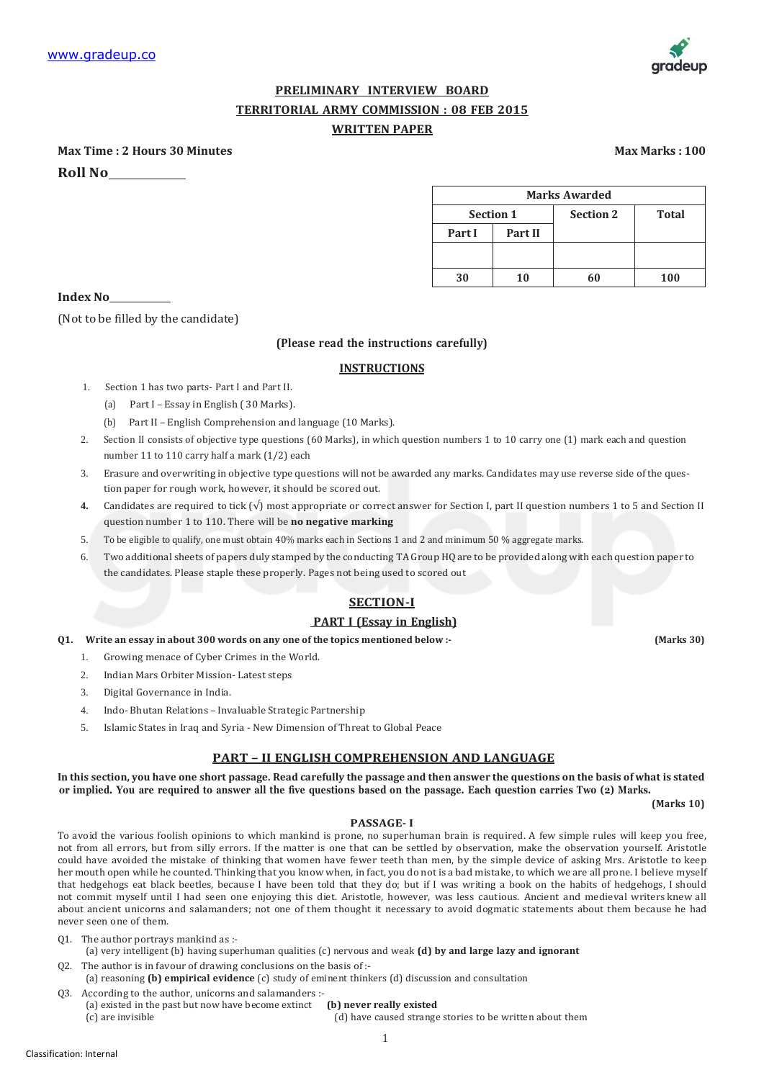

# **PRELIMINARY INTERVIEW BOARD TERRITORIAL ARMY COMMISSION : 08 FEB 2015 WRITTEN PAPER**

**Max Time : 2 Hours 30 Minutes Max Marks : 100 Roll No**

| <b>Marks Awarded</b> |                |                  |              |
|----------------------|----------------|------------------|--------------|
| <b>Section 1</b>     |                | <b>Section 2</b> | <b>Total</b> |
| Part I               | <b>Part II</b> |                  |              |
|                      |                |                  |              |
| 30                   | 10             | 60               | 100          |

**Index No**

(Not to be filled by the candidate)

# **(Please read the instructions carefully)**

# **INSTRUCTIONS**

- 1. Section 1 has two parts- Part I and Part II.
	- (a) Part I Essay in English ( 30 Marks).
	- (b) Part II English Comprehension and language (10 Marks).
- 2. Section II consists of objective type questions (60 Marks), in which question numbers 1 to 10 carry one (1) mark each and question number 11 to 110 carry half a mark (1/2) each
- 3. Erasure and overwriting in objective type questions will not be awarded any marks. Candidates may use reverse side of the question paper for rough work, however, it should be scored out.
- **4.** Candidates are required to tick  $(\sqrt{)}$  most appropriate or correct answer for Section I, part II question numbers 1 to 5 and Section II question number 1 to 110. There will be **no negative marking**
- 5. To be eligible to qualify, one must obtain 40% marks each in Sections 1 and 2 and minimum 50 % aggregate marks.
- 6. Two additional sheets of papers duly stamped by the conducting TA Group HQare to be provided along with each question paper to the candidates. Please staple these properly. Pages not being used to scored out

# **SECTION-I**

### **PART I (Essay in English)**

**Q1. Write an essay in about 300 words on any one of the topics mentioned below :- (Marks 30)**

- 1. Growing menace of Cyber Crimes in the World.
- 2. Indian Mars Orbiter Mission- Latest steps
- 3. Digital Governance in India.
- 4. Indo- Bhutan Relations Invaluable Strategic Partnership
- 5. Islamic States in Iraq and Syria New Dimension of Threat to Global Peace

### **PART – II ENGLISH COMPREHENSION AND LANGUAGE**

In this section, you have one short passage. Read carefully the passage and then answer the questions on the basis of what is stated or implied. You are required to answer all the five questions based on the passage. Each question carries Two (2) Marks.

**(Marks 10)**

### **PASSAGE- I**

To avoid the various foolish opinions to which mankind is prone, no superhuman brain is required. A few simple rules will keep you free, not from all errors, but from silly errors. If the matter is one that can be settled by observation, make the observation yourself. Aristotle could have avoided the mistake of thinking that women have fewer teeth than men, by the simple device of asking Mrs. Aristotle to keep her mouth open while he counted. Thinking that you know when, in fact, you do not is a bad mistake, to which we are all prone. I believe myself that hedgehogs eat black beetles, because I have been told that they do; but if I was writing a book on the habits of hedgehogs, I should not commit myself until I had seen one enjoying this diet. Aristotle, however, was less cautious. Ancient and medieval writers knew all about ancient unicorns and salamanders; not one of them thought it necessary to avoid dogmatic statements about them because he had never seen one of them.

- Q1. The author portrays mankind as :-
- (a) very intelligent (b) having superhuman qualities (c) nervous and weak **(d) by and large lazy and ignorant** Q2. The author is in favour of drawing conclusions on the basis of :-
- (a) reasoning **(b) empirical evidence** (c) study of eminent thinkers (d) discussion and consultation Q3. According to the author, unicorns and salamanders :-
- (a) existed in the past but now have become extinct **(b) never really existed** (c) are invisible (d) have caused strange stories to be written about them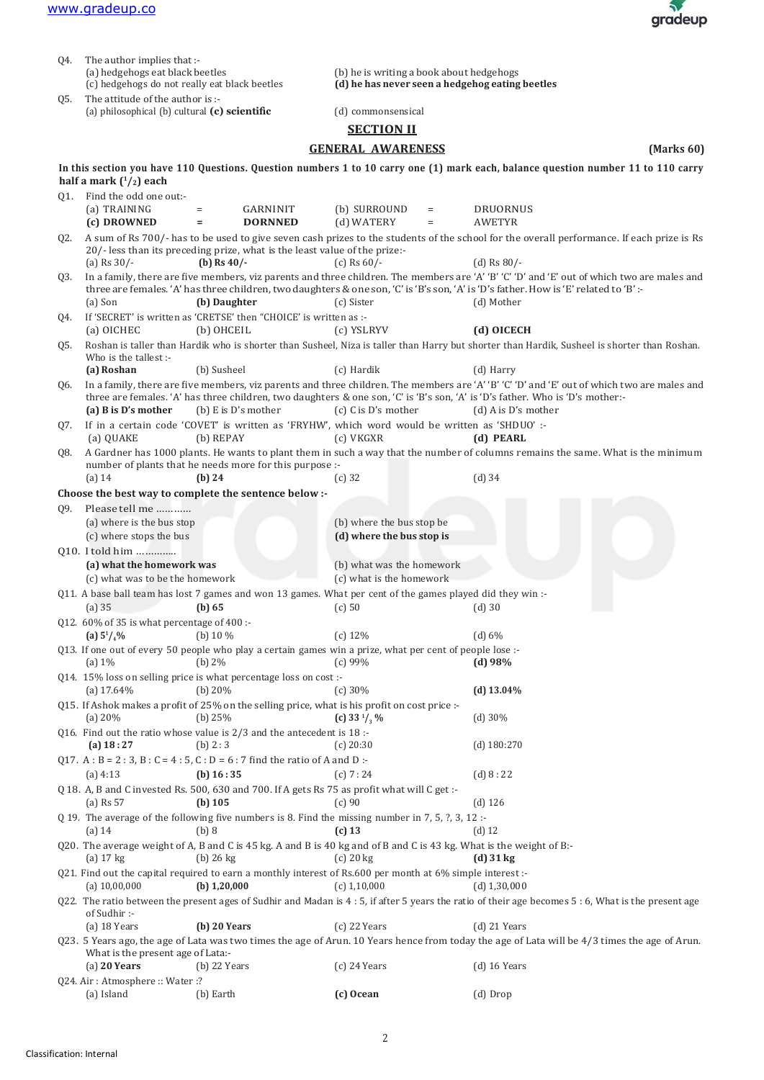

| Q4.                                           | The author implies that :-                                                                                |                                                                                                             |                                                                                                                                    |                                                                                                                                                                                                                                                                              |  |
|-----------------------------------------------|-----------------------------------------------------------------------------------------------------------|-------------------------------------------------------------------------------------------------------------|------------------------------------------------------------------------------------------------------------------------------------|------------------------------------------------------------------------------------------------------------------------------------------------------------------------------------------------------------------------------------------------------------------------------|--|
|                                               | (a) hedgehogs eat black beetles                                                                           |                                                                                                             | (b) he is writing a book about hedgehogs                                                                                           |                                                                                                                                                                                                                                                                              |  |
| (c) hedgehogs do not really eat black beetles |                                                                                                           |                                                                                                             | (d) he has never seen a hedgehog eating beetles                                                                                    |                                                                                                                                                                                                                                                                              |  |
| Q5.                                           | The attitude of the author is :-<br>(a) philosophical (b) cultural $(c)$ scientific<br>(d) commonsensical |                                                                                                             |                                                                                                                                    |                                                                                                                                                                                                                                                                              |  |
|                                               |                                                                                                           |                                                                                                             | <b>SECTION II</b>                                                                                                                  |                                                                                                                                                                                                                                                                              |  |
|                                               |                                                                                                           |                                                                                                             | <b>GENERAL AWARENESS</b>                                                                                                           | (Marks 60)                                                                                                                                                                                                                                                                   |  |
|                                               |                                                                                                           |                                                                                                             |                                                                                                                                    |                                                                                                                                                                                                                                                                              |  |
|                                               | half a mark $(^1/2)$ each                                                                                 |                                                                                                             |                                                                                                                                    | In this section you have 110 Questions. Question numbers 1 to 10 carry one (1) mark each, balance question number 11 to 110 carry                                                                                                                                            |  |
|                                               | Q1. Find the odd one out:-                                                                                |                                                                                                             |                                                                                                                                    |                                                                                                                                                                                                                                                                              |  |
|                                               | (a) TRAINING<br>(c) DROWNED                                                                               | <b>GARNINIT</b><br>$=$<br>$\qquad \qquad =$<br><b>DORNNED</b>                                               | (b) SURROUND<br>$=$<br>(d) WATERY<br>$\quad =$                                                                                     | <b>DRUORNUS</b><br><b>AWETYR</b>                                                                                                                                                                                                                                             |  |
| Q2.                                           |                                                                                                           |                                                                                                             |                                                                                                                                    | A sum of Rs 700/- has to be used to give seven cash prizes to the students of the school for the overall performance. If each prize is Rs                                                                                                                                    |  |
|                                               |                                                                                                           | 20/-less than its preceding prize, what is the least value of the prize:-                                   |                                                                                                                                    |                                                                                                                                                                                                                                                                              |  |
|                                               | (a) Rs $30/-$                                                                                             | (b) Rs $40/-$                                                                                               | (c) Rs $60/-$                                                                                                                      | (d) Rs $80/-$                                                                                                                                                                                                                                                                |  |
| Q3.                                           |                                                                                                           |                                                                                                             |                                                                                                                                    | In a family, there are five members, viz parents and three children. The members are 'A' 'B' 'C' 'D' and 'E' out of which two are males and                                                                                                                                  |  |
|                                               |                                                                                                           |                                                                                                             |                                                                                                                                    | three are females. 'A' has three children, two daughters & one son, 'C' is 'B's son, 'A' is 'D's father. How is 'E' related to 'B' :-                                                                                                                                        |  |
|                                               | (a) Son                                                                                                   | (b) Daughter<br>If 'SECRET' is written as 'CRETSE' then "CHOICE' is written as :-                           | (c) Sister                                                                                                                         | (d) Mother                                                                                                                                                                                                                                                                   |  |
| Q4.                                           | (a) OICHEC                                                                                                | (b) OHCEIL                                                                                                  | (c) YSLRYV                                                                                                                         | (d) OICECH                                                                                                                                                                                                                                                                   |  |
| Q5.                                           |                                                                                                           |                                                                                                             |                                                                                                                                    | Roshan is taller than Hardik who is shorter than Susheel, Niza is taller than Harry but shorter than Hardik, Susheel is shorter than Roshan.                                                                                                                                 |  |
|                                               | Who is the tallest :-                                                                                     |                                                                                                             |                                                                                                                                    |                                                                                                                                                                                                                                                                              |  |
|                                               | (a) Roshan                                                                                                | (b) Susheel                                                                                                 | (c) Hardik                                                                                                                         | (d) Harry                                                                                                                                                                                                                                                                    |  |
| Q6.                                           |                                                                                                           |                                                                                                             |                                                                                                                                    | In a family, there are five members, viz parents and three children. The members are 'A' 'B' 'C' 'D' and 'E' out of which two are males and<br>three are females. 'A' has three children, two daughters & one son, 'C' is 'B's son, 'A' is 'D's father. Who is 'D's mother:- |  |
|                                               | (a) B is D's mother                                                                                       | (b) $E$ is $D$ 's mother                                                                                    | (c) C is D's mother                                                                                                                | (d) A is $D$ 's mother                                                                                                                                                                                                                                                       |  |
| Q7.                                           | (a) QUAKE                                                                                                 | (b) REPAY                                                                                                   | If in a certain code 'COVET' is written as 'FRYHW', which word would be written as 'SHDUO' :-<br>$(c)$ VKGXR                       | (d) PEARL                                                                                                                                                                                                                                                                    |  |
| Q8.                                           |                                                                                                           |                                                                                                             |                                                                                                                                    | A Gardner has 1000 plants. He wants to plant them in such a way that the number of columns remains the same. What is the minimum                                                                                                                                             |  |
|                                               |                                                                                                           | number of plants that he needs more for this purpose :-                                                     |                                                                                                                                    |                                                                                                                                                                                                                                                                              |  |
|                                               | $(a)$ 14                                                                                                  | $(b)$ 24                                                                                                    | $(c)$ 32                                                                                                                           | $(d)$ 34                                                                                                                                                                                                                                                                     |  |
|                                               |                                                                                                           | Choose the best way to complete the sentence below :-                                                       |                                                                                                                                    |                                                                                                                                                                                                                                                                              |  |
| Q9.                                           | Please tell me                                                                                            |                                                                                                             |                                                                                                                                    |                                                                                                                                                                                                                                                                              |  |
|                                               | (a) where is the bus stop                                                                                 |                                                                                                             | (b) where the bus stop be                                                                                                          |                                                                                                                                                                                                                                                                              |  |
|                                               | (c) where stops the bus                                                                                   |                                                                                                             | (d) where the bus stop is                                                                                                          |                                                                                                                                                                                                                                                                              |  |
|                                               | Q10. I told him<br>(a) what the homework was                                                              |                                                                                                             | (b) what was the homework                                                                                                          |                                                                                                                                                                                                                                                                              |  |
|                                               | (c) what was to be the homework                                                                           |                                                                                                             | (c) what is the homework                                                                                                           |                                                                                                                                                                                                                                                                              |  |
|                                               |                                                                                                           |                                                                                                             | Q11. A base ball team has lost 7 games and won 13 games. What per cent of the games played did they win :-                         |                                                                                                                                                                                                                                                                              |  |
|                                               | $(a)$ 35                                                                                                  | (b) 65                                                                                                      | $(c)$ 50                                                                                                                           | $(d)$ 30                                                                                                                                                                                                                                                                     |  |
|                                               | Q12. 60% of 35 is what percentage of 400:-                                                                | (b) $10\%$                                                                                                  | (c) 12%                                                                                                                            |                                                                                                                                                                                                                                                                              |  |
|                                               | (a) $5^{1}/_{4}\%$                                                                                        |                                                                                                             | Q13. If one out of every 50 people who play a certain games win a prize, what per cent of people lose :-                           | (d) 6%                                                                                                                                                                                                                                                                       |  |
|                                               | (a) $1\%$                                                                                                 | (b) 2%                                                                                                      | (c) 99%                                                                                                                            | (d) 98%                                                                                                                                                                                                                                                                      |  |
|                                               |                                                                                                           | Q14. 15% loss on selling price is what percentage loss on cost :-                                           |                                                                                                                                    |                                                                                                                                                                                                                                                                              |  |
|                                               | (a) $17.64\%$                                                                                             | (b) $20%$                                                                                                   | (c) 30%                                                                                                                            | (d) $13.04\%$                                                                                                                                                                                                                                                                |  |
|                                               | (a) $20\%$                                                                                                | Q15. If Ashok makes a profit of 25% on the selling price, what is his profit on cost price :-<br>(b) $25%$  | (c) 33 $\frac{1}{3}$ %                                                                                                             | $(d)$ 30%                                                                                                                                                                                                                                                                    |  |
|                                               |                                                                                                           | Q16. Find out the ratio whose value is $2/3$ and the antecedent is $18$ :                                   |                                                                                                                                    |                                                                                                                                                                                                                                                                              |  |
|                                               | (a) $18:27$                                                                                               | (b) 2:3                                                                                                     | $(c)$ 20:30                                                                                                                        | $(d)$ 180:270                                                                                                                                                                                                                                                                |  |
|                                               |                                                                                                           | Q17. A : B = 2 : 3, B : C = 4 : 5, C : D = 6 : 7 find the ratio of A and D :-                               |                                                                                                                                    |                                                                                                                                                                                                                                                                              |  |
|                                               | $(a)$ 4:13                                                                                                | (b) $16:35$<br>Q 18. A, B and C invested Rs. 500, 630 and 700. If A gets Rs 75 as profit what will C get :- | (c) 7: 24                                                                                                                          | (d) 8:22                                                                                                                                                                                                                                                                     |  |
|                                               | $(a)$ Rs 57                                                                                               | (b) $105$                                                                                                   | (c)90                                                                                                                              | $(d)$ 126                                                                                                                                                                                                                                                                    |  |
|                                               | $(a)$ 14                                                                                                  | (b) 8                                                                                                       | Q 19. The average of the following five numbers is 8. Find the missing number in 7, 5, ?, 3, 12 :-<br>$(c)$ 13                     | $(d)$ 12                                                                                                                                                                                                                                                                     |  |
|                                               | $(a)$ 17 kg                                                                                               | $(b)$ 26 kg                                                                                                 | Q20. The average weight of A, B and C is 45 kg. A and B is 40 kg and of B and C is 43 kg. What is the weight of B:-<br>$(c)$ 20 kg | $(d)$ 31 kg                                                                                                                                                                                                                                                                  |  |
|                                               |                                                                                                           |                                                                                                             | Q21. Find out the capital required to earn a monthly interest of Rs.600 per month at 6% simple interest :-                         |                                                                                                                                                                                                                                                                              |  |
|                                               | (a) $10,00,000$                                                                                           | (b) $1,20,000$                                                                                              | $(c)$ 1,10,000                                                                                                                     | $(d)$ 1,30,000<br>Q22. The ratio between the present ages of Sudhir and Madan is 4 : 5, if after 5 years the ratio of their age becomes 5 : 6, What is the present age                                                                                                       |  |
|                                               | of Sudhir:-<br>$(a)$ 18 Years                                                                             | (b) 20 Years                                                                                                | $(c)$ 22 Years                                                                                                                     | $(d)$ 21 Years                                                                                                                                                                                                                                                               |  |
|                                               |                                                                                                           |                                                                                                             |                                                                                                                                    | Q23. 5 Years ago, the age of Lata was two times the age of Arun. 10 Years hence from today the age of Lata will be 4/3 times the age of Arun.                                                                                                                                |  |
|                                               | What is the present age of Lata:-                                                                         |                                                                                                             |                                                                                                                                    |                                                                                                                                                                                                                                                                              |  |
|                                               | $(a)$ 20 Years                                                                                            | $(b)$ 22 Years                                                                                              | $(c)$ 24 Years                                                                                                                     | $(d)$ 16 Years                                                                                                                                                                                                                                                               |  |
|                                               | Q24. Air: Atmosphere: Water:?                                                                             |                                                                                                             |                                                                                                                                    |                                                                                                                                                                                                                                                                              |  |
|                                               | (a) Island                                                                                                | (b) Earth                                                                                                   | (c) Ocean                                                                                                                          | (d) Drop                                                                                                                                                                                                                                                                     |  |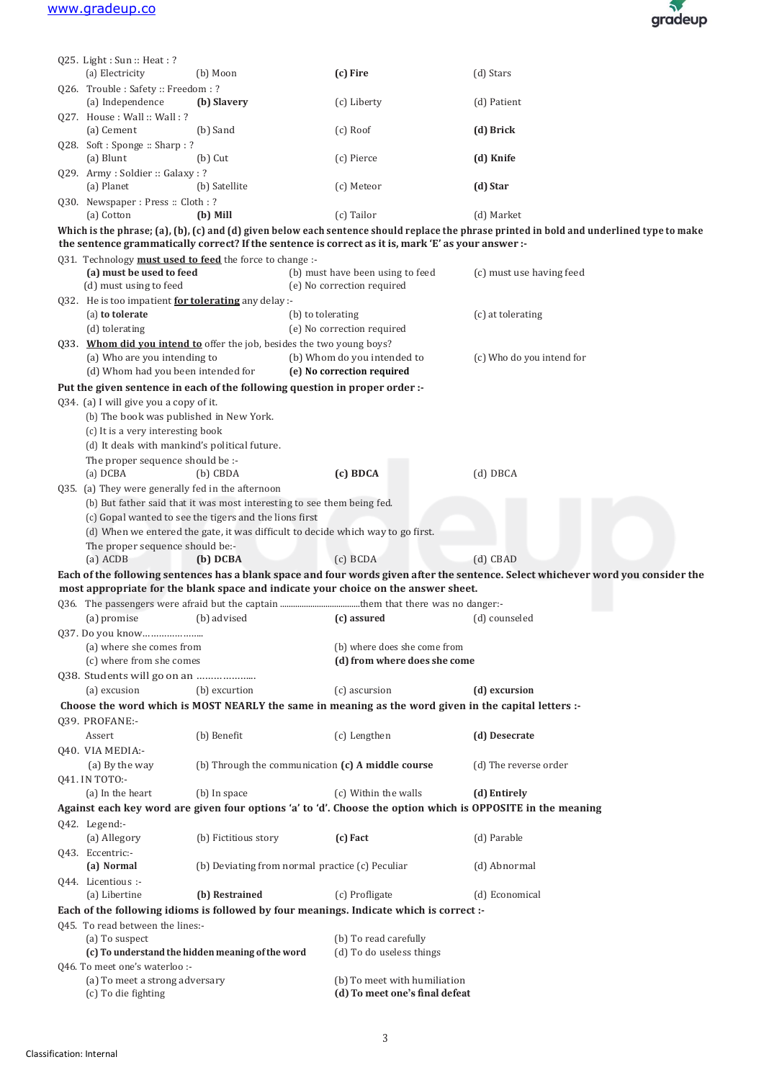

|                                                                                                                                   | Q25. Light: Sun: Heat: ?<br>(a) Electricity                            | (b) Moon                                                                | (c) Fire                                                                                                    | (d) Stars                                                                                                                                  |
|-----------------------------------------------------------------------------------------------------------------------------------|------------------------------------------------------------------------|-------------------------------------------------------------------------|-------------------------------------------------------------------------------------------------------------|--------------------------------------------------------------------------------------------------------------------------------------------|
|                                                                                                                                   | Q26. Trouble: Safety: Freedom: ?                                       |                                                                         |                                                                                                             |                                                                                                                                            |
|                                                                                                                                   | (a) Independence                                                       | (b) Slavery                                                             | (c) Liberty                                                                                                 | (d) Patient                                                                                                                                |
|                                                                                                                                   | Q27. House: Wall: Wall:?<br>(a) Cement                                 | (b) Sand                                                                | $(c)$ Roof                                                                                                  | (d) Brick                                                                                                                                  |
|                                                                                                                                   | Q28. Soft: Sponge: Sharp: ?<br>(a) Blunt                               | $(b)$ Cut                                                               | (c) Pierce                                                                                                  | (d) Knife                                                                                                                                  |
|                                                                                                                                   | Q29. Army: Soldier: Galaxy: ?<br>(a) Planet                            | (b) Satellite                                                           | (c) Meteor                                                                                                  | (d) Star                                                                                                                                   |
|                                                                                                                                   | Q30. Newspaper: Press: Cloth: ?<br>(a) Cotton                          | (b) Mill                                                                | (c) Tailor                                                                                                  | (d) Market                                                                                                                                 |
|                                                                                                                                   |                                                                        |                                                                         | the sentence grammatically correct? If the sentence is correct as it is, mark 'E' as your answer :-         | Which is the phrase; (a), (b), (c) and (d) given below each sentence should replace the phrase printed in bold and underlined type to make |
|                                                                                                                                   | Q31. Technology must used to feed the force to change :-               |                                                                         |                                                                                                             |                                                                                                                                            |
|                                                                                                                                   | (a) must be used to feed                                               |                                                                         | (b) must have been using to feed                                                                            | (c) must use having feed                                                                                                                   |
|                                                                                                                                   | (d) must using to feed                                                 |                                                                         | (e) No correction required                                                                                  |                                                                                                                                            |
|                                                                                                                                   | Q32. He is too impatient <b>for tolerating</b> any delay :-            |                                                                         |                                                                                                             |                                                                                                                                            |
|                                                                                                                                   | (a) to tolerate                                                        |                                                                         | (b) to tolerating                                                                                           | (c) at tolerating                                                                                                                          |
|                                                                                                                                   | (d) tolerating                                                         |                                                                         | (e) No correction required                                                                                  |                                                                                                                                            |
|                                                                                                                                   | Q33. Whom did vou intend to offer the job, besides the two young boys? |                                                                         |                                                                                                             |                                                                                                                                            |
|                                                                                                                                   | (a) Who are you intending to<br>(d) Whom had you been intended for     |                                                                         | (b) Whom do you intended to<br>(e) No correction required                                                   | (c) Who do you intend for                                                                                                                  |
|                                                                                                                                   |                                                                        |                                                                         | Put the given sentence in each of the following question in proper order :-                                 |                                                                                                                                            |
|                                                                                                                                   | Q34. (a) I will give you a copy of it.                                 |                                                                         |                                                                                                             |                                                                                                                                            |
|                                                                                                                                   | (b) The book was published in New York.                                |                                                                         |                                                                                                             |                                                                                                                                            |
|                                                                                                                                   | (c) It is a very interesting book                                      |                                                                         |                                                                                                             |                                                                                                                                            |
|                                                                                                                                   | (d) It deals with mankind's political future.                          |                                                                         |                                                                                                             |                                                                                                                                            |
|                                                                                                                                   | The proper sequence should be :-                                       |                                                                         |                                                                                                             |                                                                                                                                            |
|                                                                                                                                   | (a) DCBA                                                               | $(b)$ CBDA                                                              | $(c)$ BDCA                                                                                                  | $(d)$ DBCA                                                                                                                                 |
|                                                                                                                                   | Q35. (a) They were generally fed in the afternoon                      |                                                                         |                                                                                                             |                                                                                                                                            |
|                                                                                                                                   |                                                                        | (b) But father said that it was most interesting to see them being fed. |                                                                                                             |                                                                                                                                            |
|                                                                                                                                   |                                                                        | (c) Gopal wanted to see the tigers and the lions first                  |                                                                                                             |                                                                                                                                            |
|                                                                                                                                   |                                                                        |                                                                         | (d) When we entered the gate, it was difficult to decide which way to go first.                             |                                                                                                                                            |
|                                                                                                                                   | The proper sequence should be:-                                        |                                                                         |                                                                                                             |                                                                                                                                            |
|                                                                                                                                   | $(a)$ ACDB                                                             | (b) DCBA                                                                | (c) BCDA                                                                                                    | $(d)$ CBAD                                                                                                                                 |
| Each of the following sentences has a blank space and four words given after the sentence. Select whichever word you consider the |                                                                        |                                                                         |                                                                                                             |                                                                                                                                            |
|                                                                                                                                   |                                                                        |                                                                         | most appropriate for the blank space and indicate your choice on the answer sheet.                          |                                                                                                                                            |
|                                                                                                                                   |                                                                        |                                                                         |                                                                                                             |                                                                                                                                            |
|                                                                                                                                   | (a) promise                                                            | (b) advised                                                             | (c) assured                                                                                                 | (d) counseled                                                                                                                              |
|                                                                                                                                   | Q37. Do you know                                                       |                                                                         |                                                                                                             |                                                                                                                                            |
|                                                                                                                                   | (a) where she comes from                                               |                                                                         | (b) where does she come from                                                                                |                                                                                                                                            |
|                                                                                                                                   | (c) where from she comes                                               |                                                                         | (d) from where does she come                                                                                |                                                                                                                                            |
|                                                                                                                                   |                                                                        |                                                                         |                                                                                                             |                                                                                                                                            |
|                                                                                                                                   | (a) excusion                                                           | (b) excurtion                                                           | (c) ascursion                                                                                               | (d) excursion                                                                                                                              |
|                                                                                                                                   |                                                                        |                                                                         | Choose the word which is MOST NEARLY the same in meaning as the word given in the capital letters :-        |                                                                                                                                            |
|                                                                                                                                   | Q39. PROFANE:-                                                         |                                                                         |                                                                                                             |                                                                                                                                            |
|                                                                                                                                   | Assert                                                                 | (b) Benefit                                                             | (c) Lengthen                                                                                                | (d) Desecrate                                                                                                                              |
|                                                                                                                                   | 040. VIA MEDIA:-                                                       |                                                                         |                                                                                                             |                                                                                                                                            |
|                                                                                                                                   | (a) By the way                                                         |                                                                         | (b) Through the communication (c) A middle course                                                           | (d) The reverse order                                                                                                                      |
|                                                                                                                                   | Q41. IN TOTO:-                                                         |                                                                         |                                                                                                             |                                                                                                                                            |
|                                                                                                                                   |                                                                        |                                                                         |                                                                                                             |                                                                                                                                            |
|                                                                                                                                   | (a) In the heart                                                       | (b) In space                                                            | (c) Within the walls                                                                                        | (d) Entirely                                                                                                                               |
|                                                                                                                                   |                                                                        |                                                                         | Against each key word are given four options 'a' to 'd'. Choose the option which is OPPOSITE in the meaning |                                                                                                                                            |
|                                                                                                                                   |                                                                        |                                                                         |                                                                                                             |                                                                                                                                            |
|                                                                                                                                   | Q42. Legend:-<br>(a) Allegory                                          | (b) Fictitious story                                                    | (c) Fact                                                                                                    | (d) Parable                                                                                                                                |
|                                                                                                                                   | Q43. Eccentric:-                                                       |                                                                         |                                                                                                             |                                                                                                                                            |
|                                                                                                                                   | (a) Normal                                                             |                                                                         | (b) Deviating from normal practice (c) Peculiar                                                             | (d) Abnormal                                                                                                                               |
|                                                                                                                                   | Q44. Licentious :-                                                     |                                                                         |                                                                                                             |                                                                                                                                            |
|                                                                                                                                   | (a) Libertine                                                          | (b) Restrained                                                          | (c) Profligate                                                                                              | (d) Economical                                                                                                                             |
|                                                                                                                                   |                                                                        |                                                                         | Each of the following idioms is followed by four meanings. Indicate which is correct :-                     |                                                                                                                                            |
|                                                                                                                                   | Q45. To read between the lines:-                                       |                                                                         |                                                                                                             |                                                                                                                                            |
|                                                                                                                                   | (a) To suspect                                                         |                                                                         | (b) To read carefully                                                                                       |                                                                                                                                            |
|                                                                                                                                   |                                                                        | (c) To understand the hidden meaning of the word                        | (d) To do useless things                                                                                    |                                                                                                                                            |
|                                                                                                                                   | 046. To meet one's waterloo :-                                         |                                                                         |                                                                                                             |                                                                                                                                            |
|                                                                                                                                   | (a) To meet a strong adversary                                         |                                                                         | (b) To meet with humiliation<br>(d) To meet one's final defeat                                              |                                                                                                                                            |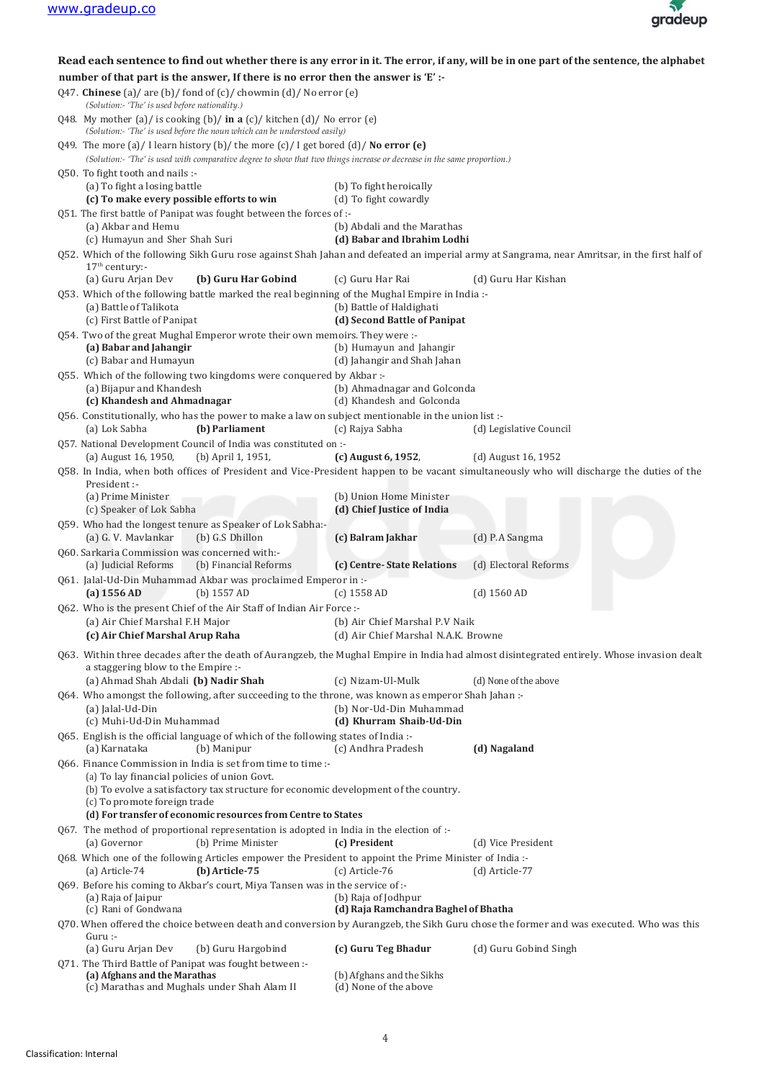

|                                                                                                                                                  | Read each sentence to find out whether there is any error in it. The error, if any, will be in one part of the sentence, the alphabet                                                                      |                                                            |                         |  |
|--------------------------------------------------------------------------------------------------------------------------------------------------|------------------------------------------------------------------------------------------------------------------------------------------------------------------------------------------------------------|------------------------------------------------------------|-------------------------|--|
|                                                                                                                                                  | number of that part is the answer, If there is no error then the answer is 'E' :-                                                                                                                          |                                                            |                         |  |
|                                                                                                                                                  | Q47. Chinese (a)/ are (b)/ fond of (c)/ chowmin (d)/ No error (e)<br>(Solution:- 'The' is used before nationality.)                                                                                        |                                                            |                         |  |
|                                                                                                                                                  | Q48. My mother (a)/ is cooking (b)/ in a $(c)$ / kitchen (d)/ No error (e)<br>(Solution:- 'The' is used before the noun which can be understood easily)                                                    |                                                            |                         |  |
|                                                                                                                                                  | Q49. The more (a)/I learn history (b)/the more (c)/I get bored (d)/No error (e)<br>(Solution:- 'The' is used with comparative degree to show that two things increase or decrease in the same proportion.) |                                                            |                         |  |
|                                                                                                                                                  | Q50. To fight tooth and nails :-<br>(a) To fight a losing battle                                                                                                                                           | (b) To fight heroically                                    |                         |  |
|                                                                                                                                                  | (c) To make every possible efforts to win                                                                                                                                                                  | (d) To fight cowardly                                      |                         |  |
|                                                                                                                                                  | Q51. The first battle of Panipat was fought between the forces of :-                                                                                                                                       |                                                            |                         |  |
|                                                                                                                                                  | (a) Akbar and Hemu<br>(c) Humayun and Sher Shah Suri                                                                                                                                                       | (b) Abdali and the Marathas<br>(d) Babar and Ibrahim Lodhi |                         |  |
|                                                                                                                                                  | Q52. Which of the following Sikh Guru rose against Shah Jahan and defeated an imperial army at Sangrama, near Amritsar, in the first half of<br>$17th$ century:-                                           |                                                            |                         |  |
|                                                                                                                                                  | (a) Guru Arjan Dev<br>(b) Guru Har Gobind                                                                                                                                                                  | (c) Guru Har Rai                                           | (d) Guru Har Kishan     |  |
|                                                                                                                                                  | Q53. Which of the following battle marked the real beginning of the Mughal Empire in India:-                                                                                                               |                                                            |                         |  |
|                                                                                                                                                  | (a) Battle of Talikota                                                                                                                                                                                     | (b) Battle of Haldighati                                   |                         |  |
|                                                                                                                                                  | (c) First Battle of Panipat                                                                                                                                                                                | (d) Second Battle of Panipat                               |                         |  |
|                                                                                                                                                  | 054. Two of the great Mughal Emperor wrote their own memoirs. They were :-                                                                                                                                 |                                                            |                         |  |
|                                                                                                                                                  | (a) Babar and Jahangir                                                                                                                                                                                     | (b) Humayun and Jahangir                                   |                         |  |
|                                                                                                                                                  | (c) Babar and Humayun                                                                                                                                                                                      | (d) Jahangir and Shah Jahan                                |                         |  |
|                                                                                                                                                  | Q55. Which of the following two kingdoms were conquered by Akbar :-                                                                                                                                        |                                                            |                         |  |
|                                                                                                                                                  | (a) Bijapur and Khandesh                                                                                                                                                                                   | (b) Ahmadnagar and Golconda                                |                         |  |
|                                                                                                                                                  | (c) Khandesh and Ahmadnagar                                                                                                                                                                                | (d) Khandesh and Golconda                                  |                         |  |
|                                                                                                                                                  | Q56. Constitutionally, who has the power to make a law on subject mentionable in the union list:-                                                                                                          |                                                            |                         |  |
|                                                                                                                                                  | (a) Lok Sabha<br>(b) Parliament                                                                                                                                                                            | (c) Rajya Sabha                                            | (d) Legislative Council |  |
|                                                                                                                                                  | Q57. National Development Council of India was constituted on :-                                                                                                                                           |                                                            |                         |  |
|                                                                                                                                                  | (a) August 16, 1950,<br>(b) April 1, 1951,                                                                                                                                                                 | (c) August 6, 1952,                                        | (d) August 16, 1952     |  |
|                                                                                                                                                  | Q58. In India, when both offices of President and Vice-President happen to be vacant simultaneously who will discharge the duties of the                                                                   |                                                            |                         |  |
|                                                                                                                                                  | President :-                                                                                                                                                                                               |                                                            |                         |  |
|                                                                                                                                                  | (a) Prime Minister<br>(c) Speaker of Lok Sabha                                                                                                                                                             | (b) Union Home Minister<br>(d) Chief Justice of India      |                         |  |
|                                                                                                                                                  |                                                                                                                                                                                                            |                                                            |                         |  |
|                                                                                                                                                  | Q59. Who had the longest tenure as Speaker of Lok Sabha:-<br>(b) G.S Dhillon<br>(a) G. V. Mavlankar                                                                                                        | (c) Balram Jakhar                                          | (d) P.A Sangma          |  |
|                                                                                                                                                  | Q60. Sarkaria Commission was concerned with:-                                                                                                                                                              |                                                            |                         |  |
|                                                                                                                                                  | (b) Financial Reforms<br>(a) Judicial Reforms                                                                                                                                                              | (c) Centre-State Relations                                 | (d) Electoral Reforms   |  |
|                                                                                                                                                  | Q61. Jalal-Ud-Din Muhammad Akbar was proclaimed Emperor in :-<br>(b) $1557 AD$<br>$(a)$ 1556 AD                                                                                                            | $(c)$ 1558 AD                                              | $(d)$ 1560 AD           |  |
|                                                                                                                                                  | Q62. Who is the present Chief of the Air Staff of Indian Air Force :-                                                                                                                                      |                                                            |                         |  |
|                                                                                                                                                  | (a) Air Chief Marshal F.H Major                                                                                                                                                                            | (b) Air Chief Marshal P.V Naik                             |                         |  |
|                                                                                                                                                  | (c) Air Chief Marshal Arup Raha                                                                                                                                                                            | (d) Air Chief Marshal N.A.K. Browne                        |                         |  |
|                                                                                                                                                  | 063. Within three decades after the death of Aurangzeb, the Mughal Empire in India had almost disintegrated entirely. Whose invasion dealt                                                                 |                                                            |                         |  |
|                                                                                                                                                  | a staggering blow to the Empire :-<br>(a) Ahmad Shah Abdali (b) Nadir Shah                                                                                                                                 | (c) Nizam-Ul-Mulk                                          | (d) None of the above   |  |
|                                                                                                                                                  | Q64. Who amongst the following, after succeeding to the throne, was known as emperor Shah Jahan :-                                                                                                         |                                                            |                         |  |
|                                                                                                                                                  | (a) Jalal-Ud-Din                                                                                                                                                                                           | (b) Nor-Ud-Din Muhammad                                    |                         |  |
|                                                                                                                                                  | (c) Muhi-Ud-Din Muhammad                                                                                                                                                                                   | (d) Khurram Shaib-Ud-Din                                   |                         |  |
|                                                                                                                                                  | Q65. English is the official language of which of the following states of India:-<br>(a) Karnataka<br>(b) Manipur                                                                                          | (c) Andhra Pradesh                                         | (d) Nagaland            |  |
|                                                                                                                                                  | Q66. Finance Commission in India is set from time to time :-                                                                                                                                               |                                                            |                         |  |
|                                                                                                                                                  | (a) To lay financial policies of union Govt.                                                                                                                                                               |                                                            |                         |  |
|                                                                                                                                                  | (b) To evolve a satisfactory tax structure for economic development of the country.<br>(c) To promote foreign trade                                                                                        |                                                            |                         |  |
|                                                                                                                                                  | (d) For transfer of economic resources from Centre to States                                                                                                                                               |                                                            |                         |  |
|                                                                                                                                                  | Q67. The method of proportional representation is adopted in India in the election of :-                                                                                                                   |                                                            |                         |  |
|                                                                                                                                                  | (a) Governor<br>(b) Prime Minister                                                                                                                                                                         | (c) President                                              | (d) Vice President      |  |
|                                                                                                                                                  | Q68. Which one of the following Articles empower the President to appoint the Prime Minister of India :-<br>(a) Article-74<br>$(b)$ Article-75                                                             | $(c)$ Article-76                                           | (d) Article-77          |  |
|                                                                                                                                                  | Q69. Before his coming to Akbar's court, Miya Tansen was in the service of :-                                                                                                                              |                                                            |                         |  |
|                                                                                                                                                  | (a) Raja of Jaipur<br>(b) Raja of Jodhpur                                                                                                                                                                  |                                                            |                         |  |
|                                                                                                                                                  | (c) Rani of Gondwana                                                                                                                                                                                       | (d) Raja Ramchandra Baghel of Bhatha                       |                         |  |
| Q70. When offered the choice between death and conversion by Aurangzeb, the Sikh Guru chose the former and was executed. Who was this<br>Guru :- |                                                                                                                                                                                                            |                                                            |                         |  |
|                                                                                                                                                  | (a) Guru Arjan Dev<br>(b) Guru Hargobind                                                                                                                                                                   | (c) Guru Teg Bhadur                                        | (d) Guru Gobind Singh   |  |
|                                                                                                                                                  | Q71. The Third Battle of Panipat was fought between :-                                                                                                                                                     |                                                            |                         |  |
|                                                                                                                                                  | (a) Afghans and the Marathas<br>(c) Marathas and Mughals under Shah Alam II                                                                                                                                | (b) Afghans and the Sikhs<br>(d) None of the above         |                         |  |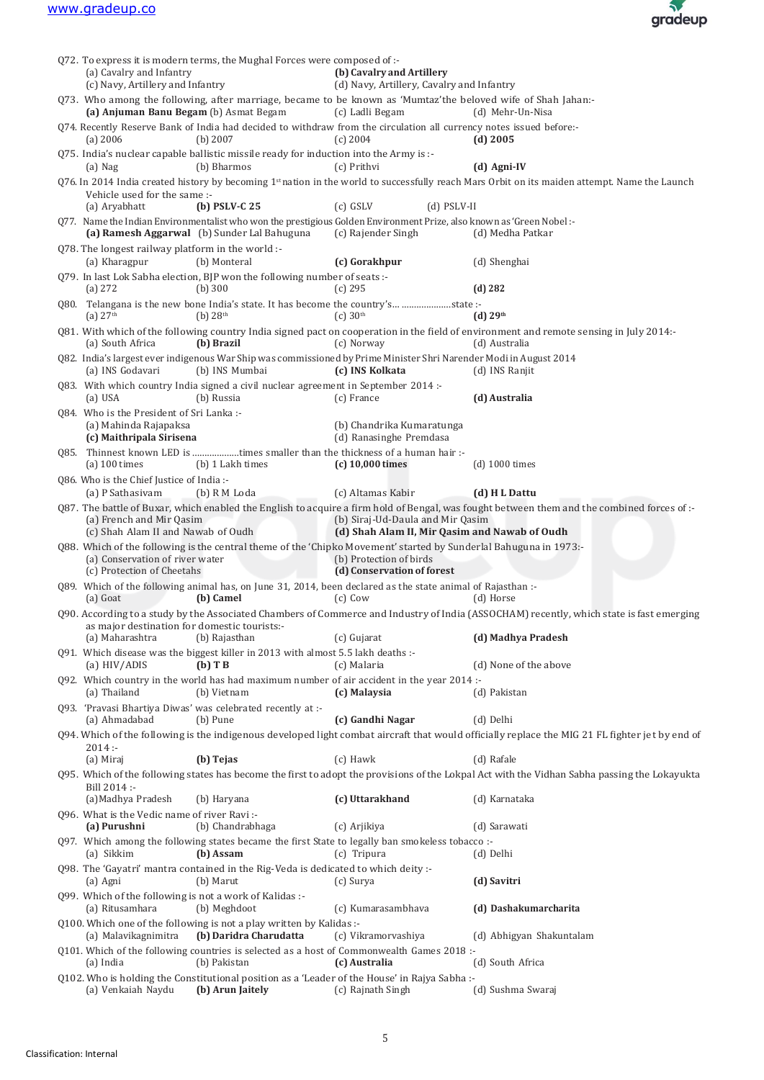

| (a) Cavalry and Infantry<br>(c) Navy, Artillery and Infantry                                   | Q72. To express it is modern terms, the Mughal Forces were composed of :-                                                                                            | (b) Cavalry and Artillery<br>(d) Navy, Artillery, Cavalry and Infantry            |                                                                                                                                                            |
|------------------------------------------------------------------------------------------------|----------------------------------------------------------------------------------------------------------------------------------------------------------------------|-----------------------------------------------------------------------------------|------------------------------------------------------------------------------------------------------------------------------------------------------------|
| (a) Anjuman Banu Begam (b) Asmat Begam                                                         | Q73. Who among the following, after marriage, became to be known as 'Mumtaz'the beloved wife of Shah Jahan:-                                                         | (c) Ladli Begam                                                                   | (d) Mehr-Un-Nisa                                                                                                                                           |
| $(a)$ 2006                                                                                     | 074. Recently Reserve Bank of India had decided to withdraw from the circulation all currency notes issued before:-<br>$(b)$ 2007                                    | $(c)$ 2004                                                                        | $(d)$ 2005                                                                                                                                                 |
| $(a)$ Nag                                                                                      | Q75. India's nuclear capable ballistic missile ready for induction into the Army is :-<br>(b) Bharmos                                                                | (c) Prithvi                                                                       | $(d)$ Agni-IV                                                                                                                                              |
|                                                                                                |                                                                                                                                                                      |                                                                                   | Q76. In 2014 India created history by becoming 1 <sup>st</sup> nation in the world to successfully reach Mars Orbit on its maiden attempt. Name the Launch |
| Vehicle used for the same :-<br>(a) Aryabhatt                                                  | $(b)$ PSLV-C 25                                                                                                                                                      | $(c)$ GSLV<br>$(d)$ PSLV-II                                                       |                                                                                                                                                            |
|                                                                                                | Q77. Name the Indian Environmentalist who won the prestigious Golden Environment Prize, also known as 'Green Nobel :-<br>(a) Ramesh Aggarwal (b) Sunder Lal Bahuguna | (c) Rajender Singh                                                                | (d) Medha Patkar                                                                                                                                           |
| Q78. The longest railway platform in the world :-                                              |                                                                                                                                                                      |                                                                                   |                                                                                                                                                            |
| (a) Kharagpur                                                                                  | (b) Monteral                                                                                                                                                         | (c) Gorakhpur                                                                     | (d) Shenghai                                                                                                                                               |
| (a) 272                                                                                        | Q79. In last Lok Sabha election, BJP won the following number of seats :-<br>$(b)$ 300                                                                               | $(c)$ 295                                                                         | $(d)$ 282                                                                                                                                                  |
| (a) $27th$                                                                                     | Q80. Telangana is the new bone India's state. It has become the country's state :-<br>$(b)$ 28 <sup>th</sup>                                                         | (c) 30 <sup>th</sup>                                                              | (d) 29 <sup>th</sup>                                                                                                                                       |
| (a) South Africa                                                                               | (b) Brazil                                                                                                                                                           | (c) Norway                                                                        | Q81. With which of the following country India signed pact on cooperation in the field of environment and remote sensing in July 2014:-<br>(d) Australia   |
| (a) INS Godavari                                                                               | Q82. India's largest ever indigenous War Ship was commissioned by Prime Minister Shri Narender Modi in August 2014<br>(b) INS Mumbai                                 | (c) INS Kolkata                                                                   | (d) INS Ranjit                                                                                                                                             |
| (a) USA                                                                                        | Q83. With which country India signed a civil nuclear agreement in September 2014 :-<br>(b) Russia                                                                    | (c) France                                                                        | (d) Australia                                                                                                                                              |
| 084. Who is the President of Sri Lanka :-<br>(a) Mahinda Rajapaksa<br>(c) Maithripala Sirisena |                                                                                                                                                                      | (b) Chandrika Kumaratunga<br>(d) Ranasinghe Premdasa                              |                                                                                                                                                            |
| $(a)$ 100 times                                                                                | Q85. Thinnest known LED is times smaller than the thickness of a human hair :-<br>(b) 1 Lakh times                                                                   | $(c)$ 10,000 times                                                                | $(d)$ 1000 times                                                                                                                                           |
| Q86. Who is the Chief Justice of India :-<br>(a) P Sathasiyam                                  | (b) R M Loda                                                                                                                                                         | (c) Altamas Kabir                                                                 | (d) HL Dattu                                                                                                                                               |
| (a) French and Mir Qasim<br>(c) Shah Alam II and Nawab of Oudh                                 |                                                                                                                                                                      | (b) Siraj-Ud-Daula and Mir Qasim<br>(d) Shah Alam II, Mir Qasim and Nawab of Oudh | Q87. The battle of Buxar, which enabled the English to acquire a firm hold of Bengal, was fought between them and the combined forces of:-                 |
| (a) Conservation of river water<br>(c) Protection of Cheetahs                                  | Q88. Which of the following is the central theme of the 'Chipko Movement' started by Sunderlal Bahuguna in 1973:-                                                    | (b) Protection of birds<br>(d) Conservation of forest                             |                                                                                                                                                            |
| (a) Goat                                                                                       | Q89. Which of the following animal has, on June 31, 2014, been declared as the state animal of Rajasthan :-<br>(b) Camel                                             | $(c)$ Cow                                                                         | (d) Horse                                                                                                                                                  |
|                                                                                                |                                                                                                                                                                      |                                                                                   | Q90. According to a study by the Associated Chambers of Commerce and Industry of India (ASSOCHAM) recently, which state is fast emerging                   |
| as major destination for domestic tourists:-<br>(a) Maharashtra                                | (b) Rajasthan                                                                                                                                                        | (c) Gujarat                                                                       | (d) Madhya Pradesh                                                                                                                                         |
| (a) HIV/ADIS                                                                                   | Q91. Which disease was the biggest killer in 2013 with almost 5.5 lakh deaths :-<br>$(b)$ T B                                                                        | (c) Malaria                                                                       | (d) None of the above                                                                                                                                      |
| (a) Thailand                                                                                   | Q92. Which country in the world has had maximum number of air accident in the year 2014 :-<br>(b) Vietnam                                                            | (c) Malaysia                                                                      | (d) Pakistan                                                                                                                                               |
| (a) Ahmadabad                                                                                  | Q93. 'Pravasi Bhartiya Diwas' was celebrated recently at :-<br>(b) Pune                                                                                              | (c) Gandhi Nagar                                                                  | (d) Delhi                                                                                                                                                  |
|                                                                                                |                                                                                                                                                                      |                                                                                   | Q94. Which of the following is the indigenous developed light combat aircraft that would officially replace the MIG 21 FL fighter jet by end of            |
| 2014:<br>(a) Miraj                                                                             | (b) Tejas                                                                                                                                                            | $(c)$ Hawk                                                                        | (d) Rafale                                                                                                                                                 |
| Bill 2014 :-                                                                                   |                                                                                                                                                                      |                                                                                   | Q95. Which of the following states has become the first to adopt the provisions of the Lokpal Act with the Vidhan Sabha passing the Lokayukta              |
| (a) Madhya Pradesh                                                                             | (b) Haryana                                                                                                                                                          | (c) Uttarakhand                                                                   | (d) Karnataka                                                                                                                                              |
| Q96. What is the Vedic name of river Ravi:-<br>(a) Purushni                                    | (b) Chandrabhaga                                                                                                                                                     | (c) Arjikiya                                                                      | (d) Sarawati                                                                                                                                               |
| (a) Sikkim                                                                                     | Q97. Which among the following states became the first State to legally ban smokeless tobacco :-<br>(b) Assam                                                        | (c) Tripura                                                                       | (d) Delhi                                                                                                                                                  |
| (a) Agni                                                                                       | Q98. The 'Gayatri' mantra contained in the Rig-Veda is dedicated to which deity :-<br>(b) Marut                                                                      | (c) Surya                                                                         | (d) Savitri                                                                                                                                                |
| (a) Ritusamhara                                                                                | Q99. Which of the following is not a work of Kalidas :-<br>(b) Meghdoot                                                                                              | (c) Kumarasambhava                                                                | (d) Dashakumarcharita                                                                                                                                      |
| (a) Malavikagnimitra                                                                           | Q100. Which one of the following is not a play written by Kalidas :-<br>(b) Daridra Charudatta                                                                       | (c) Vikramorvashiya                                                               | (d) Abhigyan Shakuntalam                                                                                                                                   |
| (a) India                                                                                      | Q101. Which of the following countries is selected as a host of Commonwealth Games 2018 :-<br>(b) Pakistan                                                           | (c) Australia                                                                     | (d) South Africa                                                                                                                                           |
| (a) Venkaiah Naydu                                                                             | Q102. Who is holding the Constitutional position as a 'Leader of the House' in Rajya Sabha :-<br>(b) Arun Jaitely                                                    | (c) Rajnath Singh                                                                 | (d) Sushma Swaraj                                                                                                                                          |